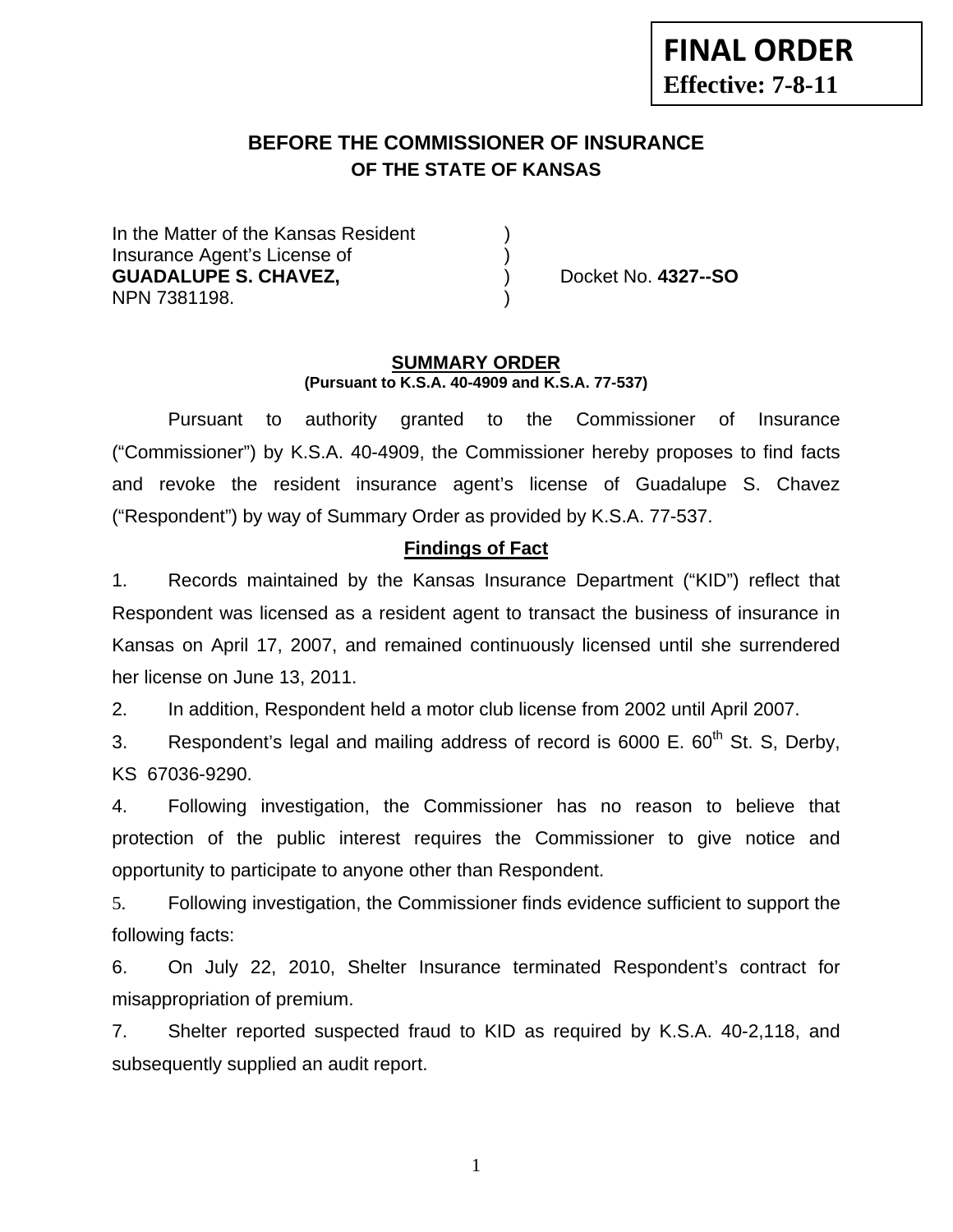# **BEFORE THE COMMISSIONER OF INSURANCE OF THE STATE OF KANSAS**

In the Matter of the Kansas Resident Insurance Agent's License of ) **GUADALUPE S. CHAVEZ,** ) Docket No. **4327--SO** NPN 7381198. )

#### **SUMMARY ORDER (Pursuant to K.S.A. 40-4909 and K.S.A. 77-537)**

 Pursuant to authority granted to the Commissioner of Insurance ("Commissioner") by K.S.A. 40-4909, the Commissioner hereby proposes to find facts and revoke the resident insurance agent's license of Guadalupe S. Chavez ("Respondent") by way of Summary Order as provided by K.S.A. 77-537.

## **Findings of Fact**

1. Records maintained by the Kansas Insurance Department ("KID") reflect that Respondent was licensed as a resident agent to transact the business of insurance in Kansas on April 17, 2007, and remained continuously licensed until she surrendered her license on June 13, 2011.

2. In addition, Respondent held a motor club license from 2002 until April 2007.

3. Respondent's legal and mailing address of record is  $6000$  E.  $60<sup>th</sup>$  St. S, Derby, KS 67036-9290.

4. Following investigation, the Commissioner has no reason to believe that protection of the public interest requires the Commissioner to give notice and opportunity to participate to anyone other than Respondent.

5. Following investigation, the Commissioner finds evidence sufficient to support the following facts:

6. On July 22, 2010, Shelter Insurance terminated Respondent's contract for misappropriation of premium.

7. Shelter reported suspected fraud to KID as required by K.S.A. 40-2,118, and subsequently supplied an audit report.

1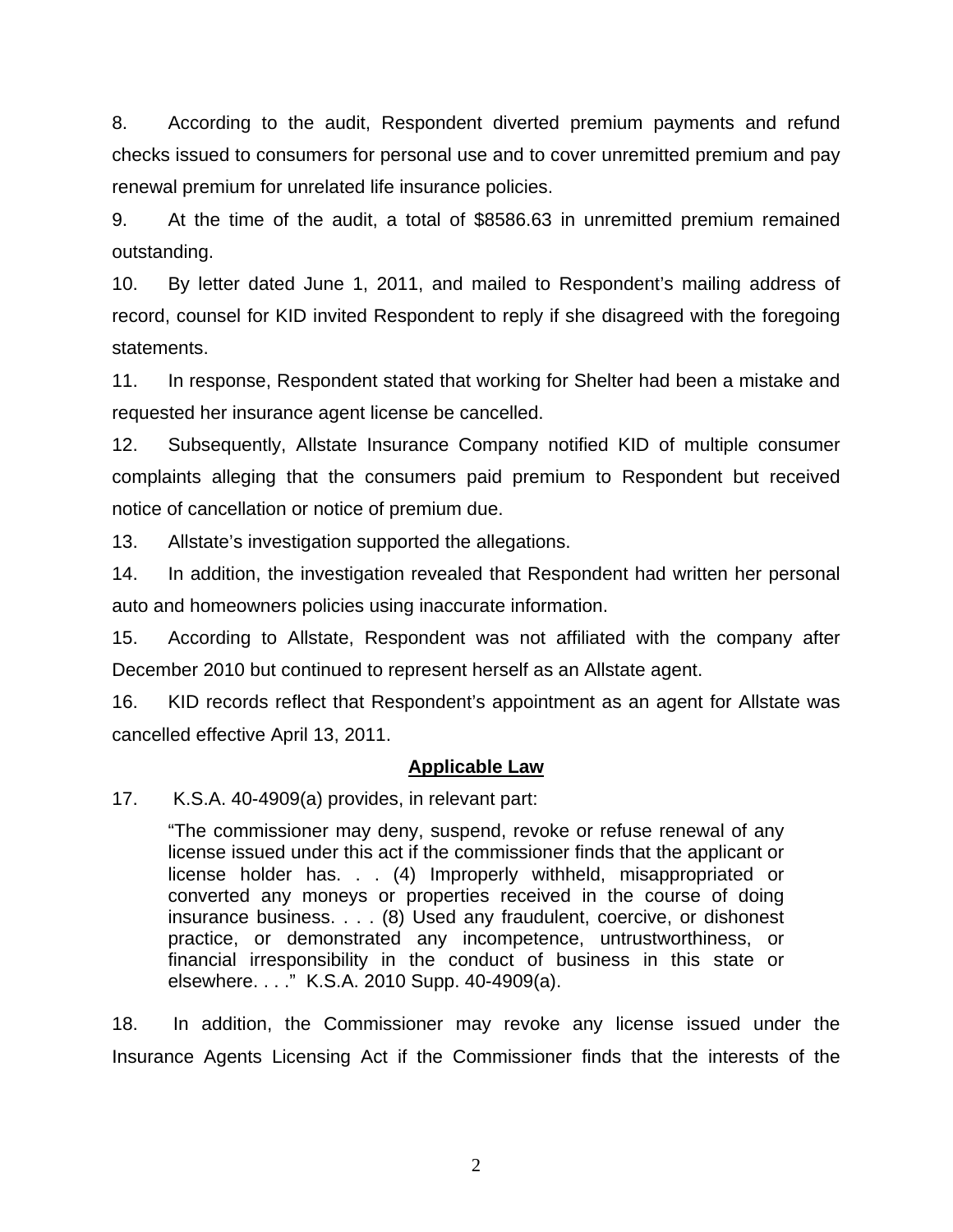8. According to the audit, Respondent diverted premium payments and refund checks issued to consumers for personal use and to cover unremitted premium and pay renewal premium for unrelated life insurance policies.

9. At the time of the audit, a total of \$8586.63 in unremitted premium remained outstanding.

10. By letter dated June 1, 2011, and mailed to Respondent's mailing address of record, counsel for KID invited Respondent to reply if she disagreed with the foregoing statements.

11. In response, Respondent stated that working for Shelter had been a mistake and requested her insurance agent license be cancelled.

12. Subsequently, Allstate Insurance Company notified KID of multiple consumer complaints alleging that the consumers paid premium to Respondent but received notice of cancellation or notice of premium due.

13. Allstate's investigation supported the allegations.

14. In addition, the investigation revealed that Respondent had written her personal auto and homeowners policies using inaccurate information.

15. According to Allstate, Respondent was not affiliated with the company after December 2010 but continued to represent herself as an Allstate agent.

16. KID records reflect that Respondent's appointment as an agent for Allstate was cancelled effective April 13, 2011.

#### **Applicable Law**

17. K.S.A. 40-4909(a) provides, in relevant part:

"The commissioner may deny, suspend, revoke or refuse renewal of any license issued under this act if the commissioner finds that the applicant or license holder has. . . (4) Improperly withheld, misappropriated or converted any moneys or properties received in the course of doing insurance business. . . . (8) Used any fraudulent, coercive, or dishonest practice, or demonstrated any incompetence, untrustworthiness, or financial irresponsibility in the conduct of business in this state or elsewhere. . . ." K.S.A. 2010 Supp. 40-4909(a).

18. In addition, the Commissioner may revoke any license issued under the Insurance Agents Licensing Act if the Commissioner finds that the interests of the

2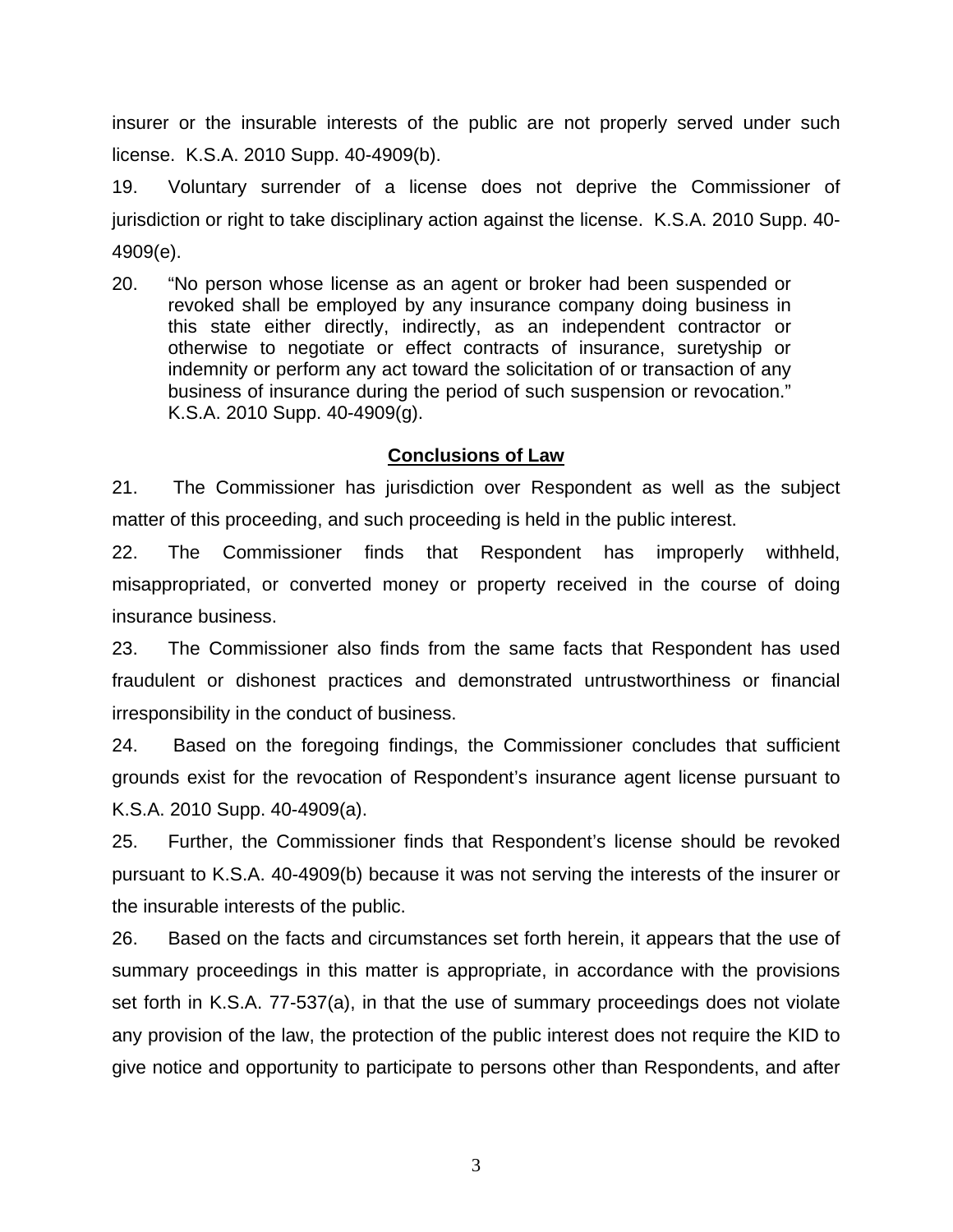insurer or the insurable interests of the public are not properly served under such license. K.S.A. 2010 Supp. 40-4909(b).

19. Voluntary surrender of a license does not deprive the Commissioner of jurisdiction or right to take disciplinary action against the license. K.S.A. 2010 Supp. 40- 4909(e).

20. "No person whose license as an agent or broker had been suspended or revoked shall be employed by any insurance company doing business in this state either directly, indirectly, as an independent contractor or otherwise to negotiate or effect contracts of insurance, suretyship or indemnity or perform any act toward the solicitation of or transaction of any business of insurance during the period of such suspension or revocation." K.S.A. 2010 Supp. 40-4909(g).

### **Conclusions of Law**

21. The Commissioner has jurisdiction over Respondent as well as the subject matter of this proceeding, and such proceeding is held in the public interest.

22. The Commissioner finds that Respondent has improperly withheld, misappropriated, or converted money or property received in the course of doing insurance business.

23. The Commissioner also finds from the same facts that Respondent has used fraudulent or dishonest practices and demonstrated untrustworthiness or financial irresponsibility in the conduct of business.

24. Based on the foregoing findings, the Commissioner concludes that sufficient grounds exist for the revocation of Respondent's insurance agent license pursuant to K.S.A. 2010 Supp. 40-4909(a).

25. Further, the Commissioner finds that Respondent's license should be revoked pursuant to K.S.A. 40-4909(b) because it was not serving the interests of the insurer or the insurable interests of the public.

26. Based on the facts and circumstances set forth herein, it appears that the use of summary proceedings in this matter is appropriate, in accordance with the provisions set forth in K.S.A. 77-537(a), in that the use of summary proceedings does not violate any provision of the law, the protection of the public interest does not require the KID to give notice and opportunity to participate to persons other than Respondents, and after

3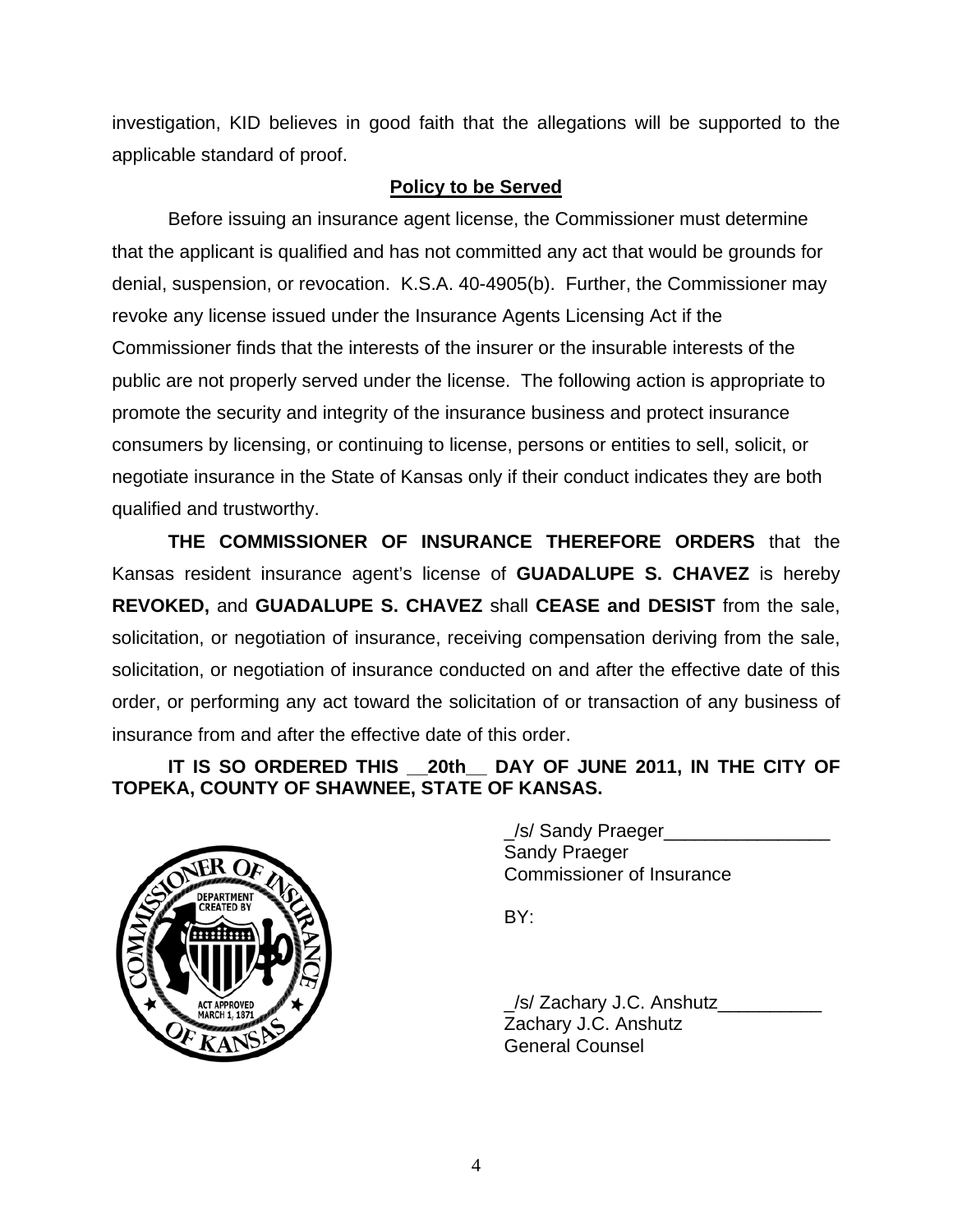investigation, KID believes in good faith that the allegations will be supported to the applicable standard of proof.

# **Policy to be Served**

 Before issuing an insurance agent license, the Commissioner must determine that the applicant is qualified and has not committed any act that would be grounds for denial, suspension, or revocation. K.S.A. 40-4905(b). Further, the Commissioner may revoke any license issued under the Insurance Agents Licensing Act if the Commissioner finds that the interests of the insurer or the insurable interests of the public are not properly served under the license. The following action is appropriate to promote the security and integrity of the insurance business and protect insurance consumers by licensing, or continuing to license, persons or entities to sell, solicit, or negotiate insurance in the State of Kansas only if their conduct indicates they are both qualified and trustworthy.

 **THE COMMISSIONER OF INSURANCE THEREFORE ORDERS** that the Kansas resident insurance agent's license of **GUADALUPE S. CHAVEZ** is hereby **REVOKED,** and **GUADALUPE S. CHAVEZ** shall **CEASE and DESIST** from the sale, solicitation, or negotiation of insurance, receiving compensation deriving from the sale, solicitation, or negotiation of insurance conducted on and after the effective date of this order, or performing any act toward the solicitation of or transaction of any business of insurance from and after the effective date of this order.

# IT IS SO ORDERED THIS 20th DAY OF JUNE 2011, IN THE CITY OF **TOPEKA, COUNTY OF SHAWNEE, STATE OF KANSAS.**



/s/ Sandy Praeger Sandy Praeger Commissioner of Insurance

 \_/s/ Zachary J.C. Anshutz\_\_\_\_\_\_\_\_\_\_ Zachary J.C. Anshutz General Counsel